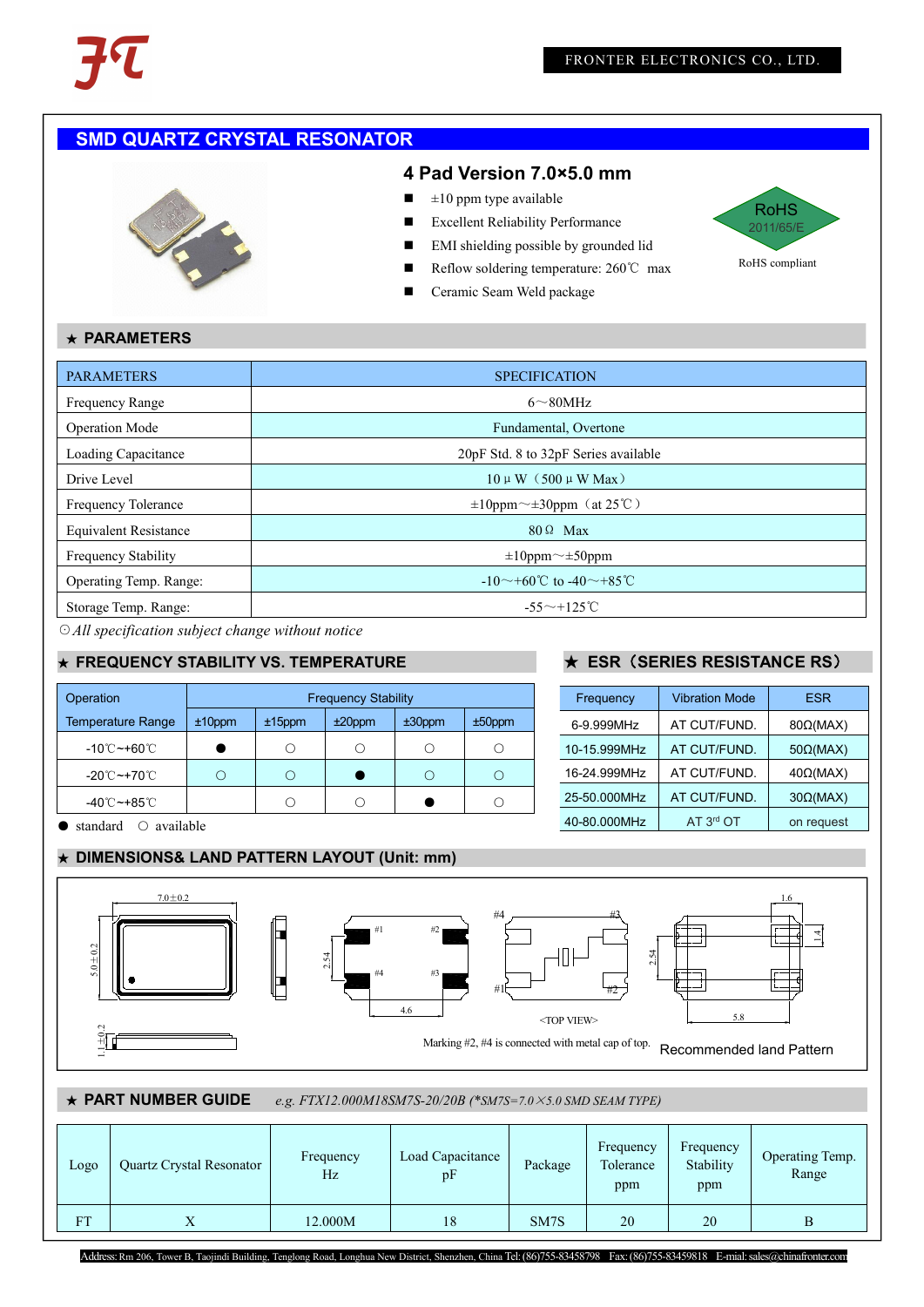# **SMD QUARTZ CRYSTAL RESONATOR**



#### **4 Pad Version 7.0×5.0 mm**

- $\blacksquare$   $\pm 10$  ppm type available
- Excellent Reliability Performance
- **EMI** shielding possible by grounded lid
- Reflow soldering temperature: 260°C max
- 



## ★ **PARAMETERS**

| <b>PARAMETERS</b>             | <b>SPECIFICATION</b>                     |
|-------------------------------|------------------------------------------|
| <b>Frequency Range</b>        | $6 \sim 80$ MHz                          |
| <b>Operation Mode</b>         | Fundamental, Overtone                    |
| Loading Capacitance           | 20pF Std. 8 to 32pF Series available     |
| Drive Level                   | $10 \mu W$ (500 $\mu W$ Max)             |
| <b>Frequency Tolerance</b>    | $\pm 10$ ppm $\sim \pm 30$ ppm (at 25°C) |
| <b>Equivalent Resistance</b>  | $80 \Omega$ Max                          |
| <b>Frequency Stability</b>    | $\pm 10$ ppm $\sim \pm 50$ ppm           |
| <b>Operating Temp. Range:</b> | $-10$ ~ +60°C to -40 ~ +85°C             |
| Storage Temp. Range:          | $-55^{\sim}+125^{\circ}$ C               |

☉*All specification subject change without notice*

### ★ **FREQUENCY STABILITY VS. TEMPERATURE** ★ **ESR**(**SERIES RESISTANCE RS**)

| Operation                      |           |           | <b>Frequency Stability</b> |           |            | Frequency    | <b>Vibration Mo</b> |
|--------------------------------|-----------|-----------|----------------------------|-----------|------------|--------------|---------------------|
| <b>Temperature Range</b>       | $±10$ ppm | $±15$ ppm | $±20$ ppm                  | $±30$ ppm | $±50$ ppm  | 6-9.999MHz   | AT CUT/FUN          |
| -10℃~+60℃                      |           |           |                            |           | $\bigcirc$ | 10-15.999MHz | AT CUT/FUN          |
| -20 $^\circ$ C ~+70 $^\circ$ C |           | ∩         |                            | $\bigcap$ | ∩          | 16-24.999MHz | AT CUT/FUN          |
| -40℃~+85℃                      |           |           |                            |           | Ω          | 25-50.000MHz | AT CUT/FUN          |

● standard ○ available

#### ★ **DIMENSIONS& LAND PATTERN LAYOUT (Unit: mm)**

| Frequency    | <b>Vibration Mode</b> | <b>ESR</b>      |
|--------------|-----------------------|-----------------|
| 6-9.999MHz   | AT CUT/FUND.          | $80\Omega(MAX)$ |
| 10-15.999MHz | AT CUT/FUND.          | $50\Omega(MAX)$ |
| 16-24.999MHz | AT CUT/FUND.          | $40\Omega(MAX)$ |
| 25-50.000MHz | AT CUT/FUND.          | $30\Omega(MAX)$ |
| 40-80.000MHz | AT 3 <sup>rd</sup> OT | on request      |



# ★ **PART NUMBER GUIDE** *e.g. FTX12.000M18SM7S-20/20B (\*SM7S=7.0*×*5.0 SMD SEAM TYPE)*

| Logo      | Quartz Crystal Resonator | Frequency<br>Hz | Load Capacitance<br>pF | Package | Frequency<br>Tolerance<br>ppm | Frequency<br>Stability<br>ppm | Operating Temp.<br>Range |
|-----------|--------------------------|-----------------|------------------------|---------|-------------------------------|-------------------------------|--------------------------|
| <b>FT</b> | $\overline{X}$           | 12.000M         | 18                     | SM7S    | 20                            | 20                            | Β                        |

Address: Rm 206, Tower B, Taojindi Building, Tenglong Road, Longhua New District, Shenzhen, China Tel: (86)755-83458798 Fax: (86)755-83459818 E-mial: sales@chinafronter.com